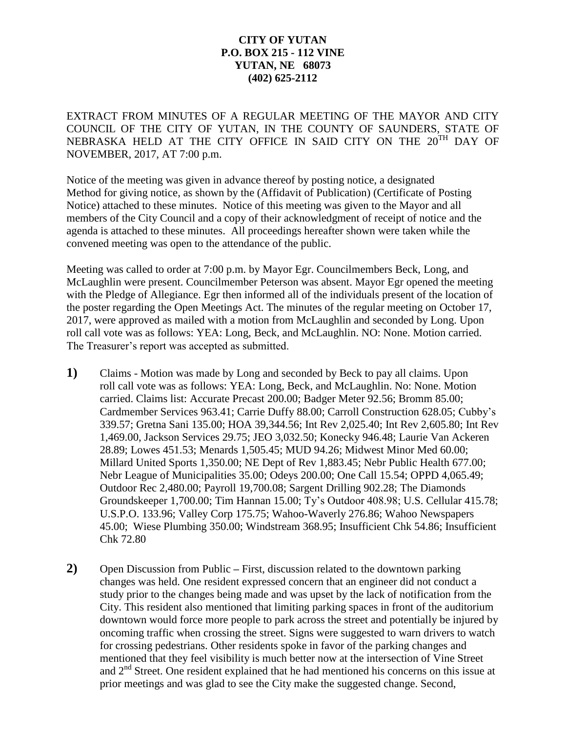## **CITY OF YUTAN P.O. BOX 215 - 112 VINE YUTAN, NE 68073 (402) 625-2112**

EXTRACT FROM MINUTES OF A REGULAR MEETING OF THE MAYOR AND CITY COUNCIL OF THE CITY OF YUTAN, IN THE COUNTY OF SAUNDERS, STATE OF NEBRASKA HELD AT THE CITY OFFICE IN SAID CITY ON THE 20<sup>TH</sup> DAY OF NOVEMBER, 2017, AT 7:00 p.m.

Notice of the meeting was given in advance thereof by posting notice, a designated Method for giving notice, as shown by the (Affidavit of Publication) (Certificate of Posting Notice) attached to these minutes. Notice of this meeting was given to the Mayor and all members of the City Council and a copy of their acknowledgment of receipt of notice and the agenda is attached to these minutes. All proceedings hereafter shown were taken while the convened meeting was open to the attendance of the public.

Meeting was called to order at 7:00 p.m. by Mayor Egr. Councilmembers Beck, Long, and McLaughlin were present. Councilmember Peterson was absent. Mayor Egr opened the meeting with the Pledge of Allegiance. Egr then informed all of the individuals present of the location of the poster regarding the Open Meetings Act. The minutes of the regular meeting on October 17, 2017, were approved as mailed with a motion from McLaughlin and seconded by Long. Upon roll call vote was as follows: YEA: Long, Beck, and McLaughlin. NO: None. Motion carried. The Treasurer's report was accepted as submitted.

- **1)** Claims Motion was made by Long and seconded by Beck to pay all claims. Upon roll call vote was as follows: YEA: Long, Beck, and McLaughlin. No: None. Motion carried. Claims list: Accurate Precast 200.00; Badger Meter 92.56; Bromm 85.00; Cardmember Services 963.41; Carrie Duffy 88.00; Carroll Construction 628.05; Cubby's 339.57; Gretna Sani 135.00; HOA 39,344.56; Int Rev 2,025.40; Int Rev 2,605.80; Int Rev 1,469.00, Jackson Services 29.75; JEO 3,032.50; Konecky 946.48; Laurie Van Ackeren 28.89; Lowes 451.53; Menards 1,505.45; MUD 94.26; Midwest Minor Med 60.00; Millard United Sports 1,350.00; NE Dept of Rev 1,883.45; Nebr Public Health 677.00; Nebr League of Municipalities 35.00; Odeys 200.00; One Call 15.54; OPPD 4,065.49; Outdoor Rec 2,480.00; Payroll 19,700.08; Sargent Drilling 902.28; The Diamonds Groundskeeper 1,700.00; Tim Hannan 15.00; Ty's Outdoor 408.98; U.S. Cellular 415.78; U.S.P.O. 133.96; Valley Corp 175.75; Wahoo-Waverly 276.86; Wahoo Newspapers 45.00; Wiese Plumbing 350.00; Windstream 368.95; Insufficient Chk 54.86; Insufficient Chk 72.80
- **2)** Open Discussion from Public **–** First, discussion related to the downtown parking changes was held. One resident expressed concern that an engineer did not conduct a study prior to the changes being made and was upset by the lack of notification from the City. This resident also mentioned that limiting parking spaces in front of the auditorium downtown would force more people to park across the street and potentially be injured by oncoming traffic when crossing the street. Signs were suggested to warn drivers to watch for crossing pedestrians. Other residents spoke in favor of the parking changes and mentioned that they feel visibility is much better now at the intersection of Vine Street and  $2<sup>nd</sup>$  Street. One resident explained that he had mentioned his concerns on this issue at prior meetings and was glad to see the City make the suggested change. Second,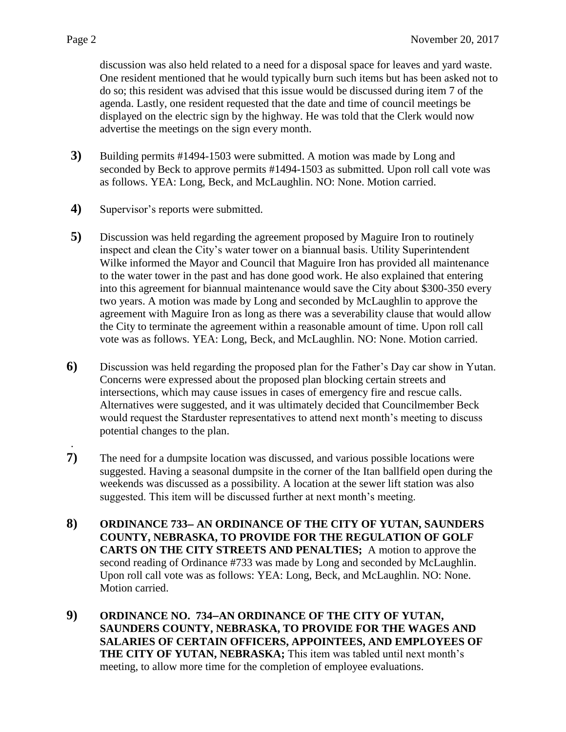discussion was also held related to a need for a disposal space for leaves and yard waste. One resident mentioned that he would typically burn such items but has been asked not to do so; this resident was advised that this issue would be discussed during item 7 of the agenda. Lastly, one resident requested that the date and time of council meetings be displayed on the electric sign by the highway. He was told that the Clerk would now advertise the meetings on the sign every month.

- **3)** Building permits #1494-1503 were submitted. A motion was made by Long and seconded by Beck to approve permits #1494-1503 as submitted. Upon roll call vote was as follows. YEA: Long, Beck, and McLaughlin. NO: None. Motion carried.
- **4)** Supervisor's reports were submitted.
- **5)** Discussion was held regarding the agreement proposed by Maguire Iron to routinely inspect and clean the City's water tower on a biannual basis. Utility Superintendent Wilke informed the Mayor and Council that Maguire Iron has provided all maintenance to the water tower in the past and has done good work. He also explained that entering into this agreement for biannual maintenance would save the City about \$300-350 every two years. A motion was made by Long and seconded by McLaughlin to approve the agreement with Maguire Iron as long as there was a severability clause that would allow the City to terminate the agreement within a reasonable amount of time. Upon roll call vote was as follows. YEA: Long, Beck, and McLaughlin. NO: None. Motion carried.
- **6)** Discussion was held regarding the proposed plan for the Father's Day car show in Yutan. Concerns were expressed about the proposed plan blocking certain streets and intersections, which may cause issues in cases of emergency fire and rescue calls. Alternatives were suggested, and it was ultimately decided that Councilmember Beck would request the Starduster representatives to attend next month's meeting to discuss potential changes to the plan.
- **7)** The need for a dumpsite location was discussed, and various possible locations were suggested. Having a seasonal dumpsite in the corner of the Itan ballfield open during the weekends was discussed as a possibility. A location at the sewer lift station was also suggested. This item will be discussed further at next month's meeting.
- **8) ORDINANCE 733 AN ORDINANCE OF THE CITY OF YUTAN, SAUNDERS COUNTY, NEBRASKA, TO PROVIDE FOR THE REGULATION OF GOLF CARTS ON THE CITY STREETS AND PENALTIES;** A motion to approve the second reading of Ordinance #733 was made by Long and seconded by McLaughlin. Upon roll call vote was as follows: YEA: Long, Beck, and McLaughlin. NO: None. Motion carried.
- **9) ORDINANCE NO. 734AN ORDINANCE OF THE CITY OF YUTAN, SAUNDERS COUNTY, NEBRASKA, TO PROVIDE FOR THE WAGES AND SALARIES OF CERTAIN OFFICERS, APPOINTEES, AND EMPLOYEES OF THE CITY OF YUTAN, NEBRASKA;** This item was tabled until next month's meeting, to allow more time for the completion of employee evaluations.

.